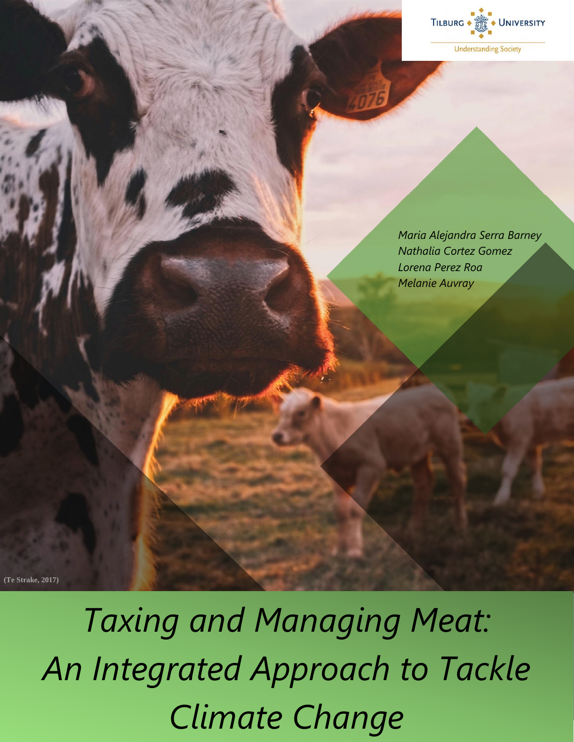

**Understanding Society** 

*Maria Alejandra Serra Barney Nathalia Cortez Gomez Lorena Perez Roa Melanie Auvray*

**(Te Strake, 2017)**

*Taxing and Managing Meat: An Integrated Approach to Tackle Climate Change*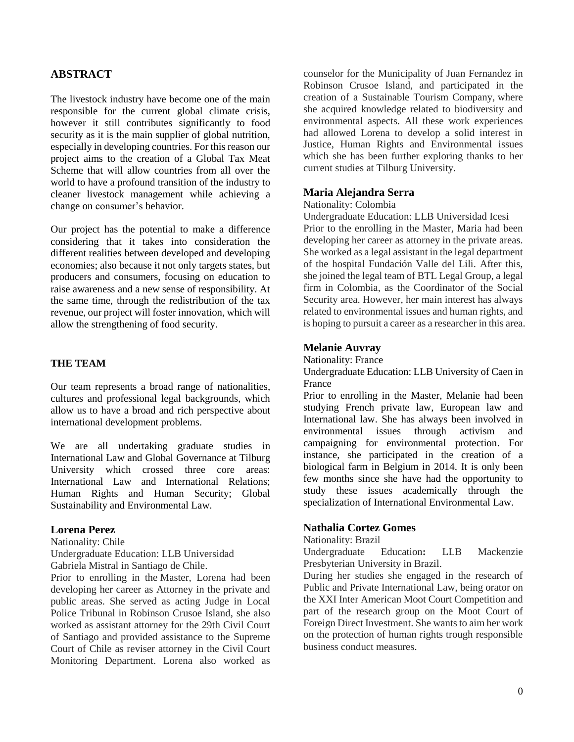## **ABSTRACT**

The livestock industry have become one of the main responsible for the current global climate crisis, however it still contributes significantly to food security as it is the main supplier of global nutrition, especially in developing countries. For this reason our project aims to the creation of a Global Tax Meat Scheme that will allow countries from all over the world to have a profound transition of the industry to cleaner livestock management while achieving a change on consumer's behavior.

Our project has the potential to make a difference considering that it takes into consideration the different realities between developed and developing economies; also because it not only targets states, but producers and consumers, focusing on education to raise awareness and a new sense of responsibility. At the same time, through the redistribution of the tax revenue, our project will foster innovation, which will allow the strengthening of food security.

## **THE TEAM**

Our team represents a broad range of nationalities, cultures and professional legal backgrounds, which allow us to have a broad and rich perspective about international development problems.

We are all undertaking graduate studies in International Law and Global Governance at Tilburg University which crossed three core areas: International Law and International Relations; Human Rights and Human Security; Global Sustainability and Environmental Law.

#### **Lorena Perez**

Nationality: Chile Undergraduate Education: LLB Universidad Gabriela Mistral in Santiago de Chile.

Prior to enrolling in the Master, Lorena had been developing her career as Attorney in the private and public areas. She served as acting Judge in Local Police Tribunal in Robinson Crusoe Island, she also worked as assistant attorney for the 29th Civil Court of Santiago and provided assistance to the Supreme Court of Chile as reviser attorney in the Civil Court Monitoring Department. Lorena also worked as

counselor for the Municipality of Juan Fernandez in Robinson Crusoe Island, and participated in the creation of a Sustainable Tourism Company, where she acquired knowledge related to biodiversity and environmental aspects. All these work experiences had allowed Lorena to develop a solid interest in Justice, Human Rights and Environmental issues which she has been further exploring thanks to her current studies at Tilburg University.

#### **Maria Alejandra Serra**

Nationality: Colombia

Undergraduate Education: LLB Universidad Icesi Prior to the enrolling in the Master, Maria had been developing her career as attorney in the private areas. She worked as a legal assistant in the legal department of the hospital Fundación Valle del Lili. After this, she joined the legal team of BTL Legal Group, a legal firm in Colombia, as the Coordinator of the Social Security area. However, her main interest has always related to environmental issues and human rights, and is hoping to pursuit a career as a researcher in this area.

#### **Melanie Auvray**

#### Nationality: France

Undergraduate Education: LLB University of Caen in France

Prior to enrolling in the Master, Melanie had been studying French private law, European law and International law. She has always been involved in environmental issues through activism and campaigning for environmental protection. For instance, she participated in the creation of a biological farm in Belgium in 2014. It is only been few months since she have had the opportunity to study these issues academically through the specialization of International Environmental Law.

#### **Nathalia Cortez Gomes**

Nationality: Brazil

Undergraduate Education**:** LLB Mackenzie Presbyterian University in Brazil.

During her studies she engaged in the research of Public and Private International Law, being orator on the XXI Inter American Moot Court Competition and part of the research group on the Moot Court of Foreign Direct Investment. She wants to aim her work on the protection of human rights trough responsible business conduct measures.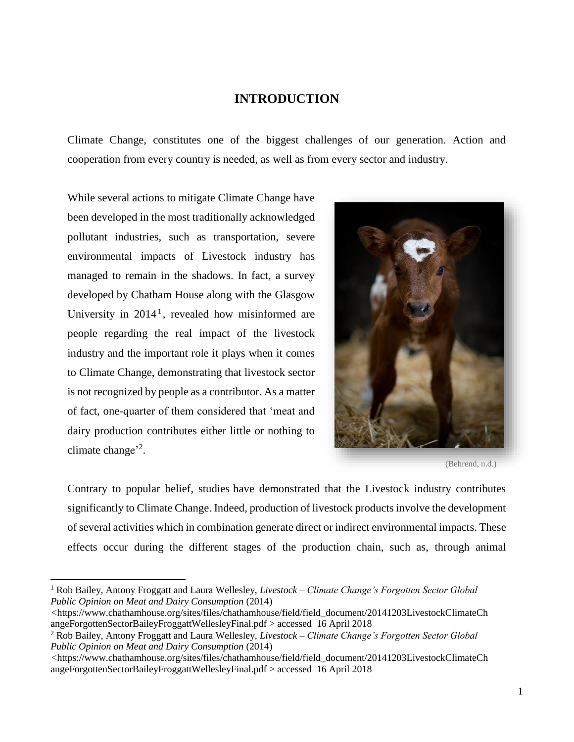# **INTRODUCTION**

Climate Change, constitutes one of the biggest challenges of our generation. Action and cooperation from every country is needed, as well as from every sector and industry.

While several actions to mitigate Climate Change have been developed in the most traditionally acknowledged pollutant industries, such as transportation, severe environmental impacts of Livestock industry has managed to remain in the shadows. In fact, a survey developed by Chatham House along with the Glasgow University in 2014<sup>1</sup>, revealed how misinformed are people regarding the real impact of the livestock industry and the important role it plays when it comes to Climate Change, demonstrating that livestock sector is not recognized by people as a contributor. As a matter of fact, one-quarter of them considered that 'meat and dairy production contributes either little or nothing to climate change<sup>'2</sup>.

 $\overline{a}$ 



(Behrend, n.d.)

Contrary to popular belief, studies have demonstrated that the Livestock industry contributes significantly to Climate Change. Indeed, production of livestock products involve the development of several activities which in combination generate direct or indirect environmental impacts. These effects occur during the different stages of the production chain, such as, through animal

<sup>1</sup> Rob Bailey, Antony Froggatt and Laura Wellesley, *Livestock – Climate Change's Forgotten Sector Global Public Opinion on Meat and Dairy Consumption* (2014)

*<sup>&</sup>lt;*[https://www.chathamhouse.org/sites/files/chathamhouse/field/field\\_document/20141203LivestockClimateCh](https://www.chathamhouse.org/sites/files/chathamhouse/field/field_document/20141203LivestockClimateChangeForgottenSectorBaileyFroggattWellesleyFinal.pdf) [angeForgottenSectorBaileyFroggattWellesleyFinal.pdf](https://www.chathamhouse.org/sites/files/chathamhouse/field/field_document/20141203LivestockClimateChangeForgottenSectorBaileyFroggattWellesleyFinal.pdf) > accessed 16 April 2018

<sup>2</sup> Rob Bailey, Antony Froggatt and Laura Wellesley, *Livestock – Climate Change's Forgotten Sector Global Public Opinion on Meat and Dairy Consumption* (2014)

*<sup>&</sup>lt;*[https://www.chathamhouse.org/sites/files/chathamhouse/field/field\\_document/20141203LivestockClimateCh](https://www.chathamhouse.org/sites/files/chathamhouse/field/field_document/20141203LivestockClimateChangeForgottenSectorBaileyFroggattWellesleyFinal.pdf) [angeForgottenSectorBaileyFroggattWellesleyFinal.pdf](https://www.chathamhouse.org/sites/files/chathamhouse/field/field_document/20141203LivestockClimateChangeForgottenSectorBaileyFroggattWellesleyFinal.pdf) > accessed 16 April 2018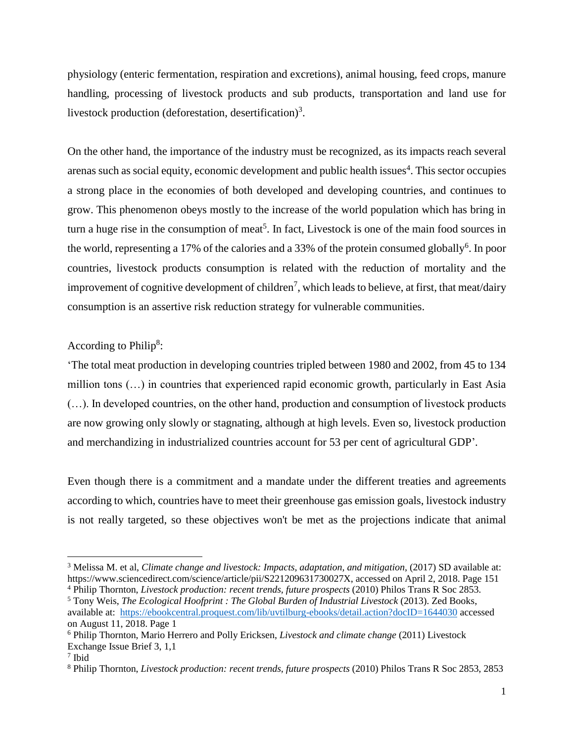physiology (enteric fermentation, respiration and excretions), animal housing, feed crops, manure handling, processing of livestock products and sub products, transportation and land use for livestock production (deforestation, desertification)<sup>3</sup>.

On the other hand, the importance of the industry must be recognized, as its impacts reach several arenas such as social equity, economic development and public health issues<sup>4</sup>. This sector occupies a strong place in the economies of both developed and developing countries, and continues to grow. This phenomenon obeys mostly to the increase of the world population which has bring in turn a huge rise in the consumption of meat<sup>5</sup>. In fact, Livestock is one of the main food sources in the world, representing a 17% of the calories and a 33% of the protein consumed globally<sup>6</sup>. In poor countries, livestock products consumption is related with the reduction of mortality and the improvement of cognitive development of children<sup>7</sup>, which leads to believe, at first, that meat/dairy consumption is an assertive risk reduction strategy for vulnerable communities.

# According to Philip<sup>8</sup>:

'The total meat production in developing countries tripled between 1980 and 2002, from 45 to 134 million tons (…) in countries that experienced rapid economic growth, particularly in East Asia (…). In developed countries, on the other hand, production and consumption of livestock products are now growing only slowly or stagnating, although at high levels. Even so, livestock production and merchandizing in industrialized countries account for 53 per cent of agricultural GDP'*.*

Even though there is a commitment and a mandate under the different treaties and agreements according to which, countries have to meet their greenhouse gas emission goals, livestock industry is not really targeted, so these objectives won't be met as the projections indicate that animal

<sup>3</sup> [Melissa](https://www.sciencedirect.com/science/article/pii/S221209631730027X) M. et al, *Climate change and livestock: Impacts, adaptation, and mitigation*, (2017) SD available at: [https://www.sciencedirect.com/science/article/pii/S221209631730027X,](https://www.sciencedirect.com/science/article/pii/S221209631730027X) accessed on April 2, 2018. Page 151

<sup>4</sup> Philip Thornton, *Livestock production: recent trends, future prospects* (2010) Philos Trans R Soc 2853.

<sup>5</sup> Tony Weis, *The Ecological Hoofprint : The Global Burden of Industrial Livestock* (2013). Zed Books, available at: <https://ebookcentral.proquest.com/lib/uvtilburg-ebooks/detail.action?docID=1644030> accessed on August 11, 2018. Page 1

<sup>6</sup> Philip Thornton, Mario Herrero and Polly Ericksen, *Livestock and climate change* (2011) Livestock Exchange Issue Brief 3, 1,1

<sup>7</sup> Ibid

<sup>8</sup> Philip Thornton, *Livestock production: recent trends, future prospects* (2010) Philos Trans R Soc 2853, 2853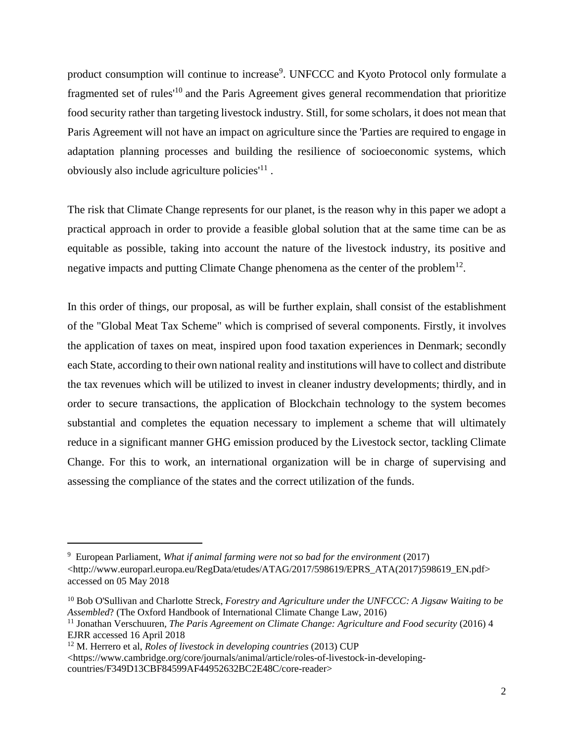product consumption will continue to increase<sup>9</sup>. UNFCCC and Kyoto Protocol only formulate a fragmented set of rules'<sup>10</sup> and the Paris Agreement gives general recommendation that prioritize food security rather than targeting livestock industry. Still, for some scholars, it does not mean that Paris Agreement will not have an impact on agriculture since the 'Parties are required to engage in adaptation planning processes and building the resilience of socioeconomic systems, which obviously also include agriculture policies<sup>11</sup>.

The risk that Climate Change represents for our planet, is the reason why in this paper we adopt a practical approach in order to provide a feasible global solution that at the same time can be as equitable as possible, taking into account the nature of the livestock industry, its positive and negative impacts and putting Climate Change phenomena as the center of the problem<sup>12</sup>.

In this order of things, our proposal, as will be further explain, shall consist of the establishment of the "Global Meat Tax Scheme" which is comprised of several components. Firstly, it involves the application of taxes on meat, inspired upon food taxation experiences in Denmark; secondly each State, according to their own national reality and institutions will have to collect and distribute the tax revenues which will be utilized to invest in cleaner industry developments; thirdly, and in order to secure transactions, the application of Blockchain technology to the system becomes substantial and completes the equation necessary to implement a scheme that will ultimately reduce in a significant manner GHG emission produced by the Livestock sector, tackling Climate Change. For this to work, an international organization will be in charge of supervising and assessing the compliance of the states and the correct utilization of the funds.

l

<https://www.cambridge.org/core/journals/animal/article/roles-of-livestock-in-developingcountries/F349D13CBF84599AF44952632BC2E48C/core-reader>

<sup>9</sup> European Parliament, *What if animal farming were not so bad for the environment* (2017) [<http://www.europarl.europa.eu/RegData/etudes/ATAG/2017/598619/EPRS\\_ATA\(2017\)598619\\_EN.pdf>](http://www.europarl.europa.eu/RegData/etudes/ATAG/2017/598619/EPRS_ATA(2017)598619_EN.pdf) accessed on 05 May 2018

<sup>10</sup> Bob O'Sullivan and Charlotte Streck, *Forestry and Agriculture under the UNFCCC: A Jigsaw Waiting to be Assembled*? (The Oxford Handbook of International Climate Change Law, 2016)

<sup>&</sup>lt;sup>11</sup> Jonathan Verschuuren, *The Paris Agreement on Climate Change: Agriculture and Food security (2016)* 4 EJRR accessed 16 April 2018

<sup>12</sup> M. Herrero et al, *Roles of livestock in developing countries* (2013) CUP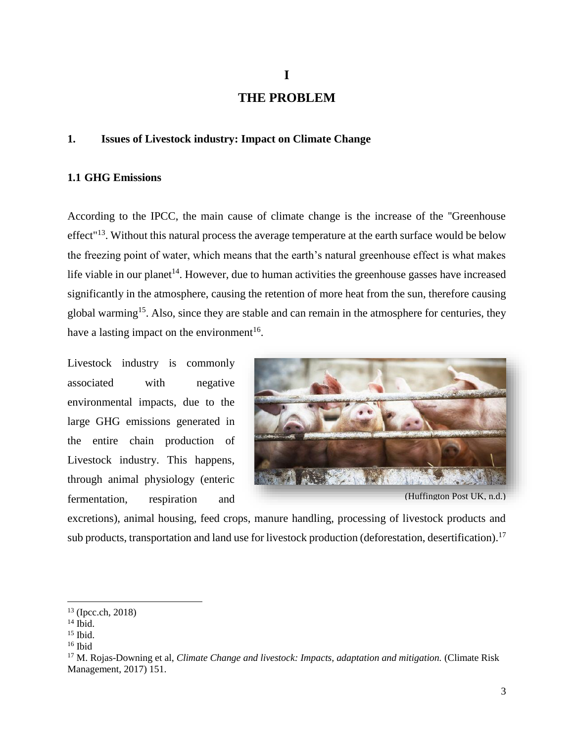# **THE PROBLEM**

## **1. Issues of Livestock industry: Impact on Climate Change**

## **1.1 GHG Emissions**

According to the IPCC, the main cause of climate change is the increase of the ''Greenhouse effect<sup>"13</sup>. Without this natural process the average temperature at the earth surface would be below the freezing point of water, which means that the earth's natural greenhouse effect is what makes life viable in our planet<sup>14</sup>. However, due to human activities the greenhouse gasses have increased significantly in the atmosphere, causing the retention of more heat from the sun, therefore causing global warming<sup>15</sup>. Also, since they are stable and can remain in the atmosphere for centuries, they have a lasting impact on the environment<sup>16</sup>.

Livestock industry is commonly associated with negative environmental impacts, due to the large GHG emissions generated in the entire chain production of Livestock industry. This happens, through animal physiology (enteric fermentation, respiration and



excretions), animal housing, feed crops, manure handling, processing of livestock products and sub products, transportation and land use for livestock production (deforestation, desertification).<sup>17</sup>

 $13$  (Ipcc.ch, 2018)

 $14$  Ibid.

<sup>15</sup> Ibid.

<sup>16</sup> Ibid

<sup>&</sup>lt;sup>17</sup> M. Rojas-Downing et al, *Climate Change and livestock: Impacts, adaptation and mitigation.* (Climate Risk Management, 2017) 151.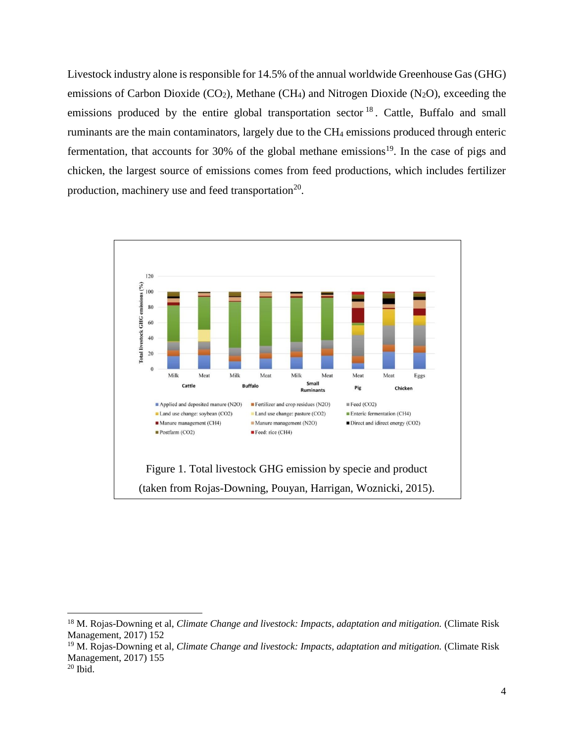Livestock industry alone is responsible for 14.5% of the annual worldwide Greenhouse Gas (GHG) emissions of Carbon Dioxide ( $CO<sub>2</sub>$ ), Methane (CH<sub>4</sub>) and Nitrogen Dioxide (N<sub>2</sub>O), exceeding the emissions produced by the entire global transportation sector <sup>18</sup>. Cattle, Buffalo and small ruminants are the main contaminators, largely due to the CH<sup>4</sup> emissions produced through enteric fermentation, that accounts for 30% of the global methane emissions<sup>19</sup>. In the case of pigs and chicken, the largest source of emissions comes from feed productions, which includes fertilizer production, machinery use and feed transportation<sup>20</sup>.



<sup>&</sup>lt;sup>18</sup> M. Rojas-Downing et al, *Climate Change and livestock: Impacts, adaptation and mitigation.* (Climate Risk Management, 2017) 152

<sup>19</sup> M. Rojas-Downing et al, *Climate Change and livestock: Impacts, adaptation and mitigation.* (Climate Risk Management, 2017) 155

<sup>20</sup> Ibid.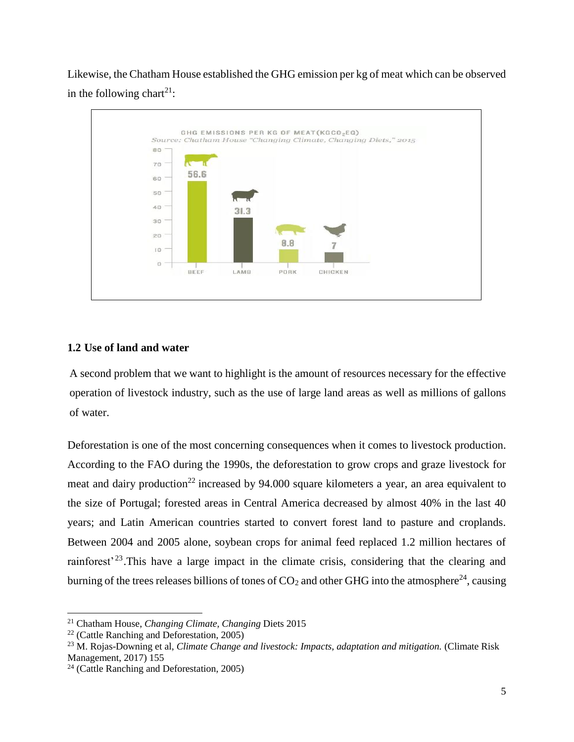Likewise, the Chatham House established the GHG emission per kg of meat which can be observed in the following chart<sup>21</sup>:



# **1.2 Use of land and water**

A second problem that we want to highlight is the amount of resources necessary for the effective operation of livestock industry, such as the use of large land areas as well as millions of gallons of water.

Deforestation is one of the most concerning consequences when it comes to livestock production. According to the FAO during the 1990s, the deforestation to grow crops and graze livestock for meat and dairy production<sup>22</sup> increased by 94.000 square kilometers a year, an area equivalent to the size of Portugal; forested areas in Central America decreased by almost 40% in the last 40 years; and Latin American countries started to convert forest land to pasture and croplands. Between 2004 and 2005 alone, soybean crops for animal feed replaced 1.2 million hectares of rainforest<sup>23</sup>. This have a large impact in the climate crisis, considering that the clearing and burning of the trees releases billions of tones of  $CO<sub>2</sub>$  and other GHG into the atmosphere<sup>24</sup>, causing

<sup>21</sup> Chatham House, *Changing Climate, Changing* Diets 2015

<sup>&</sup>lt;sup>22</sup> (Cattle Ranching and Deforestation,  $2005$ )

<sup>23</sup> M. Rojas-Downing et al, *Climate Change and livestock: Impacts, adaptation and mitigation.* (Climate Risk Management, 2017) 155

<sup>24</sup> (Cattle Ranching and Deforestation, 2005)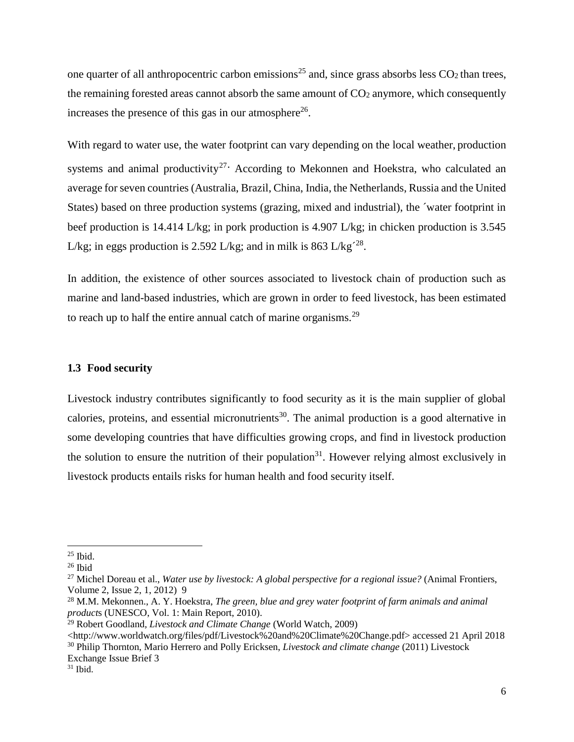one quarter of all anthropocentric carbon emissions<sup>25</sup> and, since grass absorbs less  $CO<sub>2</sub>$  than trees, the remaining forested areas cannot absorb the same amount of  $CO<sub>2</sub>$  anymore, which consequently increases the presence of this gas in our atmosphere<sup>26</sup>.

With regard to water use, the water footprint can vary depending on the local weather, production systems and animal productivity<sup>27.</sup> According to Mekonnen and Hoekstra, who calculated an average forseven countries (Australia, Brazil, China, India, the Netherlands, Russia and the United States) based on three production systems (grazing, mixed and industrial), the ´water footprint in beef production is 14.414 L/kg; in pork production is 4.907 L/kg; in chicken production is 3.545 L/kg; in eggs production is 2.592 L/kg; and in milk is 863 L/kg<sup>-28</sup>.

In addition, the existence of other sources associated to livestock chain of production such as marine and land-based industries, which are grown in order to feed livestock, has been estimated to reach up to half the entire annual catch of marine organisms.<sup>29</sup>

## **1.3 Food security**

Livestock industry contributes significantly to food security as it is the main supplier of global calories, proteins, and essential micronutrients<sup>30</sup>. The animal production is a good alternative in some developing countries that have difficulties growing crops, and find in livestock production the solution to ensure the nutrition of their population<sup>31</sup>. However relying almost exclusively in livestock products entails risks for human health and food security itself.

 $25$  Ibid.

<sup>26</sup> Ibid

<sup>27</sup> Michel Doreau et al., *Water use by livestock: A global perspective for a regional issue?* (Animal Frontiers, Volume 2, Issue 2, 1, 2012) 9

<sup>28</sup> M.M. Mekonnen., A. Y. Hoekstra, *The green, blue and grey water footprint of farm animals and animal product*s (UNESCO, Vol. 1: Main Report, 2010).

<sup>29</sup> Robert Goodland*, Livestock and Climate Change* (World Watch, 2009)

[<sup>&</sup>lt;http://www.worldwatch.org/files/pdf/Livestock%20and%20Climate%20Change.pdf> accessed 21 April 2018](http://www.worldwatch.org/files/pdf/Livestock%20and%20Climate%20Change.pdf) <sup>30</sup> Philip Thornton, Mario Herrero and Polly Ericksen, *Livestock and climate change* (2011) Livestock Exchange Issue Brief 3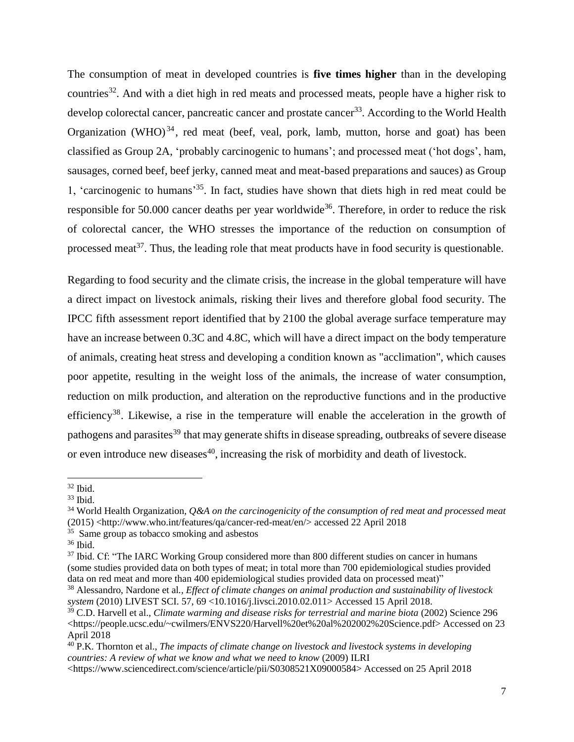The consumption of meat in developed countries is **five times higher** than in the developing countries<sup>32</sup>. And with a diet high in red meats and processed meats, people have a higher risk to develop colorectal cancer, pancreatic cancer and prostate cancer<sup>33</sup>. According to the World Health Organization (WHO) $^{34}$ , red meat (beef, veal, pork, lamb, mutton, horse and goat) has been classified as Group 2A, 'probably carcinogenic to humans'; and processed meat ('hot dogs', ham, sausages, corned beef, beef jerky, canned meat and meat-based preparations and sauces) as Group 1, 'carcinogenic to humans' <sup>35</sup>. In fact, studies have shown that diets high in red meat could be responsible for 50.000 cancer deaths per year worldwide<sup>36</sup>. Therefore, in order to reduce the risk of colorectal cancer, the WHO stresses the importance of the reduction on consumption of processed meat<sup>37</sup>. Thus, the leading role that meat products have in food security is questionable.

Regarding to food security and the climate crisis, the increase in the global temperature will have a direct impact on livestock animals, risking their lives and therefore global food security. The IPCC fifth assessment report identified that by 2100 the global average surface temperature may have an increase between 0.3C and 4.8C, which will have a direct impact on the body temperature of animals, creating heat stress and developing a condition known as "acclimation", which causes poor appetite, resulting in the weight loss of the animals, the increase of water consumption, reduction on milk production, and alteration on the reproductive functions and in the productive efficiency<sup>38</sup>. Likewise, a rise in the temperature will enable the acceleration in the growth of pathogens and parasites<sup>39</sup> that may generate shifts in disease spreading, outbreaks of severe disease or even introduce new diseases<sup>40</sup>, increasing the risk of morbidity and death of livestock.

 $\overline{a}$ 

<sup>35</sup> Same group as tobacco smoking and asbestos

<sup>32</sup> Ibid.

<sup>33</sup> Ibid.

<sup>34</sup> World Health Organization*, Q&A on the carcinogenicity of the consumption of red meat and processed meat* (2015) <http://www.who.int/features/qa/cancer-red-meat/en/> accessed 22 April 2018

 $36$  Ibid.

<sup>&</sup>lt;sup>37</sup> Ibid. Cf: "The IARC Working Group considered more than 800 different studies on cancer in humans (some studies provided data on both types of meat; in total more than 700 epidemiological studies provided data on red meat and more than 400 epidemiological studies provided data on processed meat)"

<sup>38</sup> Alessandro, Nardone et al*., Effect of climate changes on animal production and sustainability of livestock system* (2010) LIVEST SCI. 57, 69 <10.1016/j.livsci.2010.02.011> Accessed 15 April 2018.

<sup>39</sup> C.D. Harvell et al., *Climate warming and disease risks for terrestrial and marine biota* (2002) Science 296 <https://people.ucsc.edu/~cwilmers/ENVS220/Harvell%20et%20al%202002%20Science.pdf> Accessed on 23 April 2018

<sup>40</sup> P.K. Thornton et al., *The impacts of climate change on livestock and livestock systems in developing countries: A review of what we know and what we need to know* (2009) ILRI

<sup>&</sup>lt;https://www.sciencedirect.com/science/article/pii/S0308521X09000584> Accessed on 25 April 2018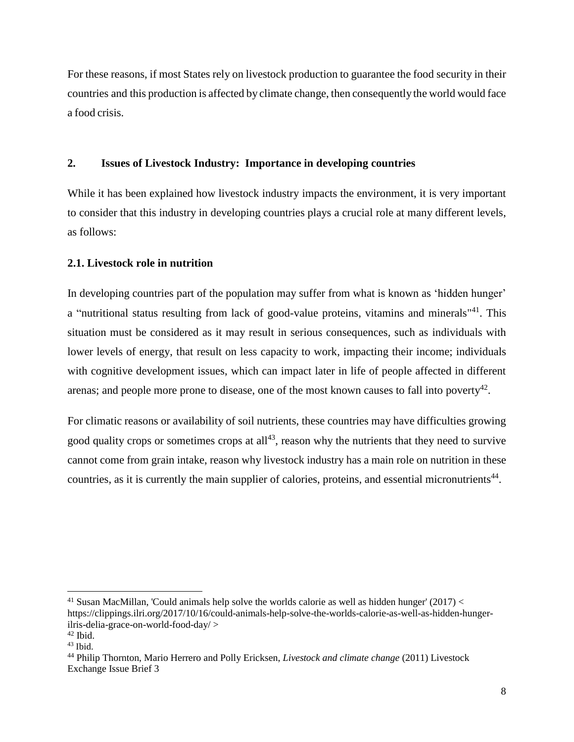For these reasons, if most States rely on livestock production to guarantee the food security in their countries and this production is affected by climate change, then consequently the world would face a food crisis.

# **2. Issues of Livestock Industry: Importance in developing countries**

While it has been explained how livestock industry impacts the environment, it is very important to consider that this industry in developing countries plays a crucial role at many different levels, as follows:

# **2.1. Livestock role in nutrition**

In developing countries part of the population may suffer from what is known as 'hidden hunger' a "nutritional status resulting from lack of good-value proteins, vitamins and minerals<sup>"41</sup>. This situation must be considered as it may result in serious consequences, such as individuals with lower levels of energy, that result on less capacity to work, impacting their income; individuals with cognitive development issues, which can impact later in life of people affected in different arenas; and people more prone to disease, one of the most known causes to fall into poverty<sup>42</sup>.

For climatic reasons or availability of soil nutrients, these countries may have difficulties growing good quality crops or sometimes crops at  $all<sup>43</sup>$ , reason why the nutrients that they need to survive cannot come from grain intake, reason why livestock industry has a main role on nutrition in these countries, as it is currently the main supplier of calories, proteins, and essential micronutrients<sup>44</sup>.

l <sup>41</sup> Susan MacMillan, 'Could animals help solve the worlds calorie as well as hidden hunger' (2017)  $\lt$ [https://clippings.ilri.org/2017/10/16/could-animals-help-solve-the-worlds-calorie-as-well-as-hidden-hunger](https://clippings.ilri.org/2017/10/16/could-animals-help-solve-the-worlds-calorie-as-well-as-hidden-hunger-ilris-delia-grace-on-world-food-day/)[ilris-delia-grace-on-world-food-day/](https://clippings.ilri.org/2017/10/16/could-animals-help-solve-the-worlds-calorie-as-well-as-hidden-hunger-ilris-delia-grace-on-world-food-day/) >

 $42$  Ibid.

 $43$  Ibid.

<sup>44</sup> Philip Thornton, Mario Herrero and Polly Ericksen, *Livestock and climate change* (2011) Livestock Exchange Issue Brief 3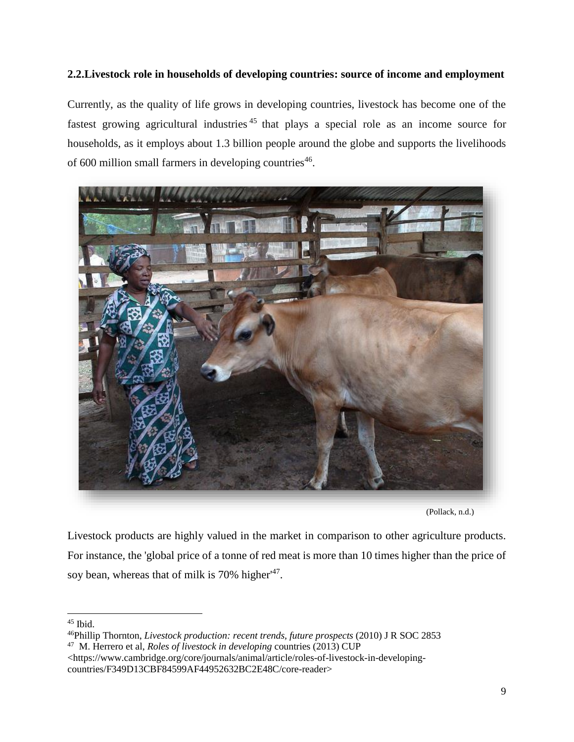# **2.2.Livestock role in households of developing countries: source of income and employment**

Currently, as the quality of life grows in developing countries, livestock has become one of the fastest growing agricultural industries<sup>45</sup> that plays a special role as an income source for households, as it employs about 1.3 billion people around the globe and supports the livelihoods of 600 million small farmers in developing countries<sup>46</sup>.



(Pollack, n.d.)

Livestock products are highly valued in the market in comparison to other agriculture products. For instance, the 'global price of a tonne of red meat is more than 10 times higher than the price of soy bean, whereas that of milk is 70% higher<sup>147</sup>.

<sup>45</sup> Ibid.

<sup>46</sup>Phillip Thornton, *Livestock production: recent trends, future prospects* (2010) J R SOC 2853 47 M. Herrero et al, *Roles of livestock in developing* countries (2013) CUP

<sup>&</sup>lt;https://www.cambridge.org/core/journals/animal/article/roles-of-livestock-in-developingcountries/F349D13CBF84599AF44952632BC2E48C/core-reader>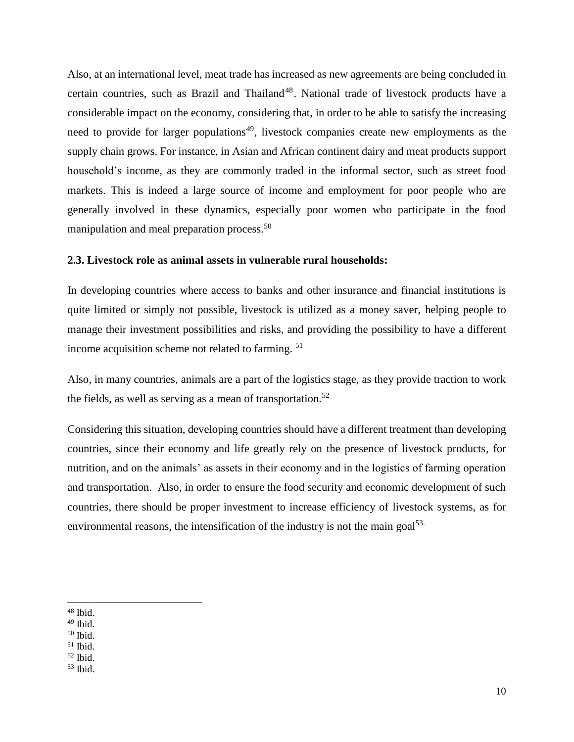Also, at an international level, meat trade has increased as new agreements are being concluded in certain countries, such as Brazil and Thailand<sup>48</sup>. National trade of livestock products have a considerable impact on the economy, considering that, in order to be able to satisfy the increasing need to provide for larger populations<sup>49</sup>, livestock companies create new employments as the supply chain grows. For instance, in Asian and African continent dairy and meat products support household's income, as they are commonly traded in the informal sector, such as street food markets. This is indeed a large source of income and employment for poor people who are generally involved in these dynamics, especially poor women who participate in the food manipulation and meal preparation process.<sup>50</sup>

## **2.3. Livestock role as animal assets in vulnerable rural households:**

In developing countries where access to banks and other insurance and financial institutions is quite limited or simply not possible, livestock is utilized as a money saver, helping people to manage their investment possibilities and risks, and providing the possibility to have a different income acquisition scheme not related to farming. <sup>51</sup>

Also, in many countries, animals are a part of the logistics stage, as they provide traction to work the fields, as well as serving as a mean of transportation.<sup>52</sup>

Considering this situation, developing countries should have a different treatment than developing countries, since their economy and life greatly rely on the presence of livestock products, for nutrition, and on the animals' as assets in their economy and in the logistics of farming operation and transportation. Also, in order to ensure the food security and economic development of such countries, there should be proper investment to increase efficiency of livestock systems, as for environmental reasons, the intensification of the industry is not the main goal $53$ .

l

<sup>50</sup> Ibid.

<sup>48</sup> Ibid.

<sup>49</sup> Ibid.

 $51$  Ibid.

<sup>52</sup> Ibid.

<sup>53</sup> Ibid.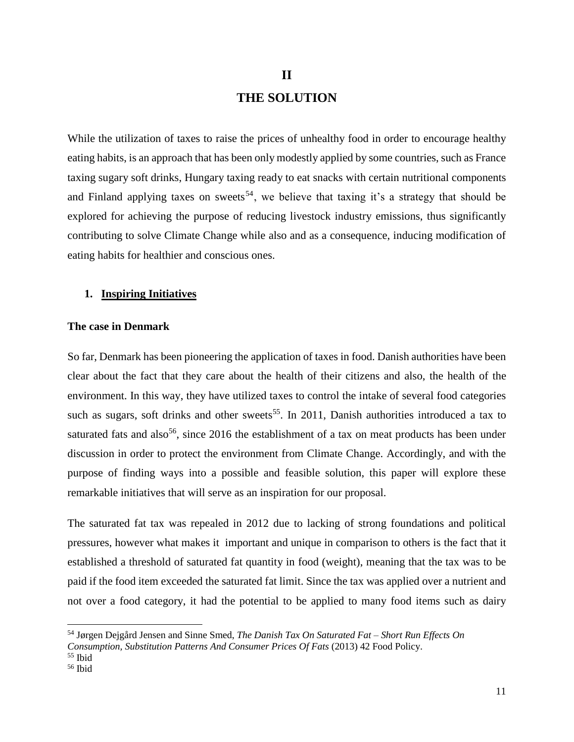# **II THE SOLUTION**

While the utilization of taxes to raise the prices of unhealthy food in order to encourage healthy eating habits, is an approach that has been only modestly applied by some countries, such as France taxing sugary soft drinks, Hungary taxing ready to eat snacks with certain nutritional components and Finland applying taxes on sweets<sup>54</sup>, we believe that taxing it's a strategy that should be explored for achieving the purpose of reducing livestock industry emissions, thus significantly contributing to solve Climate Change while also and as a consequence, inducing modification of eating habits for healthier and conscious ones.

#### **1. Inspiring Initiatives**

## **The case in Denmark**

So far, Denmark has been pioneering the application of taxes in food. Danish authorities have been clear about the fact that they care about the health of their citizens and also, the health of the environment. In this way, they have utilized taxes to control the intake of several food categories such as sugars, soft drinks and other sweets<sup>55</sup>. In 2011, Danish authorities introduced a tax to saturated fats and also<sup>56</sup>, since 2016 the establishment of a tax on meat products has been under discussion in order to protect the environment from Climate Change. Accordingly, and with the purpose of finding ways into a possible and feasible solution, this paper will explore these remarkable initiatives that will serve as an inspiration for our proposal.

The saturated fat tax was repealed in 2012 due to lacking of strong foundations and political pressures, however what makes it important and unique in comparison to others is the fact that it established a threshold of saturated fat quantity in food (weight), meaning that the tax was to be paid if the food item exceeded the saturated fat limit. Since the tax was applied over a nutrient and not over a food category, it had the potential to be applied to many food items such as dairy

<sup>54</sup> Jørgen Dejgård Jensen and Sinne Smed, *The Danish Tax On Saturated Fat – Short Run Effects On* 

*Consumption, Substitution Patterns And Consumer Prices Of Fats* (2013) 42 Food Policy.

<sup>55</sup> Ibid

<sup>56</sup> Ibid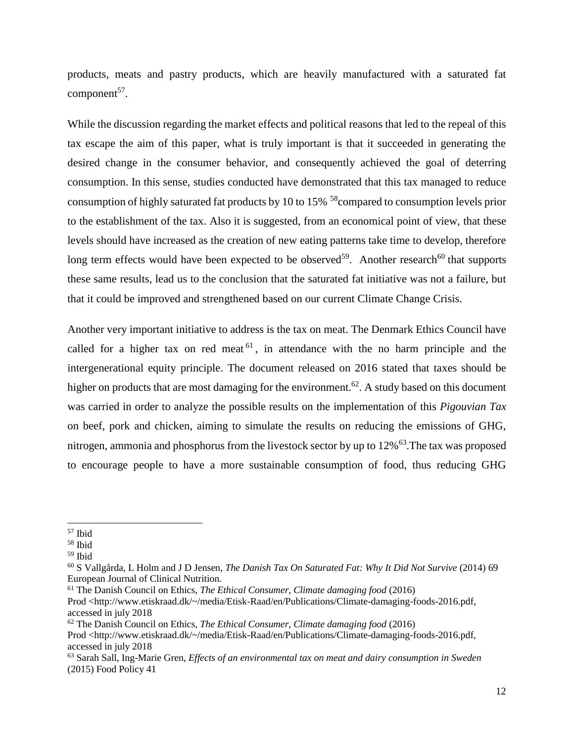products, meats and pastry products, which are heavily manufactured with a saturated fat  $component<sup>57</sup>$ .

While the discussion regarding the market effects and political reasons that led to the repeal of this tax escape the aim of this paper, what is truly important is that it succeeded in generating the desired change in the consumer behavior, and consequently achieved the goal of deterring consumption. In this sense, studies conducted have demonstrated that this tax managed to reduce consumption of highly saturated fat products by 10 to 15% <sup>58</sup>compared to consumption levels prior to the establishment of the tax. Also it is suggested, from an economical point of view, that these levels should have increased as the creation of new eating patterns take time to develop, therefore long term effects would have been expected to be observed<sup>59</sup>. Another research<sup>60</sup> that supports these same results, lead us to the conclusion that the saturated fat initiative was not a failure, but that it could be improved and strengthened based on our current Climate Change Crisis.

Another very important initiative to address is the tax on meat. The Denmark Ethics Council have called for a higher tax on red meat  $61$ , in attendance with the no harm principle and the intergenerational equity principle. The document released on 2016 stated that taxes should be higher on products that are most damaging for the environment.<sup>62</sup>. A study based on this document was carried in order to analyze the possible results on the implementation of this *Pigouvian Tax* on beef, pork and chicken, aiming to simulate the results on reducing the emissions of GHG, nitrogen, ammonia and phosphorus from the livestock sector by up to 12%<sup>63</sup>. The tax was proposed to encourage people to have a more sustainable consumption of food, thus reducing GHG

 $\overline{a}$ 

<sup>61</sup> The Danish Council on Ethics, *The Ethical Consumer, Climate damaging food* (2016)

Prod <http://www.etiskraad.dk/~/media/Etisk-Raad/en/Publications/Climate-damaging-foods-2016.pdf, accessed in july 2018

<sup>62</sup> The Danish Council on Ethics, *The Ethical Consumer, Climate damaging food* (2016)

<sup>57</sup> Ibid

<sup>58</sup> Ibid

<sup>59</sup> Ibid

<sup>60</sup> S Vallgårda, L Holm and J D Jensen, *The Danish Tax On Saturated Fat: Why It Did Not Survive* (2014) 69 European Journal of Clinical Nutrition.

Prod <http://www.etiskraad.dk/~/media/Etisk-Raad/en/Publications/Climate-damaging-foods-2016.pdf, accessed in july 2018

<sup>63</sup> Sarah Sall, Ing-Marie Gren, *Effects of an environmental tax on meat and dairy consumption in Sweden* (2015) Food Policy 41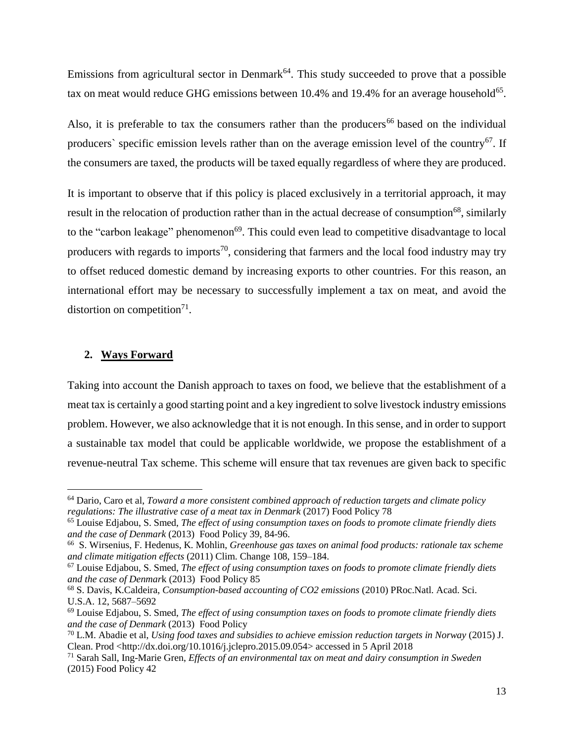Emissions from agricultural sector in Denmark<sup>64</sup>. This study succeeded to prove that a possible tax on meat would reduce GHG emissions between  $10.4\%$  and  $19.4\%$  for an average household<sup>65</sup>.

Also, it is preferable to tax the consumers rather than the producers<sup>66</sup> based on the individual producers` specific emission levels rather than on the average emission level of the country<sup>67</sup>. If the consumers are taxed, the products will be taxed equally regardless of where they are produced.

It is important to observe that if this policy is placed exclusively in a territorial approach, it may result in the relocation of production rather than in the actual decrease of consumption<sup>68</sup>, similarly to the "carbon leakage" phenomenon<sup>69</sup>. This could even lead to competitive disadvantage to local producers with regards to imports<sup>70</sup>, considering that farmers and the local food industry may try to offset reduced domestic demand by increasing exports to other countries. For this reason, an international effort may be necessary to successfully implement a tax on meat, and avoid the distortion on competition<sup>71</sup>.

## **2. Ways Forward**

 $\overline{a}$ 

Taking into account the Danish approach to taxes on food, we believe that the establishment of a meat tax is certainly a good starting point and a key ingredient to solve livestock industry emissions problem. However, we also acknowledge that it is not enough. In this sense, and in order to support a sustainable tax model that could be applicable worldwide, we propose the establishment of a revenue-neutral Tax scheme. This scheme will ensure that tax revenues are given back to specific

<sup>64</sup> Dario, Caro et al, *Toward a more consistent combined approach of reduction targets and climate policy regulations: The illustrative case of a meat tax in Denmark* (2017) Food Policy 78

<sup>65</sup> Louise Edjabou, S. Smed, *The effect of using consumption taxes on foods to promote climate friendly diets and the case of Denmark* (2013) Food Policy 39, 84-96.

<sup>66</sup> S. Wirsenius, F. Hedenus, K. Mohlin, *Greenhouse gas taxes on animal food products: rationale tax scheme and climate mitigation effects* (2011) Clim. Change 108, 159–184.

<sup>67</sup> Louise Edjabou, S. Smed, *The effect of using consumption taxes on foods to promote climate friendly diets and the case of Denmar*k (2013) Food Policy 85

<sup>68</sup> S. Davis, K.Caldeira, *Consumption-based accounting of CO2 emissions* (2010) PRoc.Natl. Acad. Sci. U.S.A. 12, 5687–5692

<sup>69</sup> Louise Edjabou, S. Smed, *The effect of using consumption taxes on foods to promote climate friendly diets and the case of Denmark* (2013) Food Policy

<sup>70</sup> L.M. Abadie et al, *Using food taxes and subsidies to achieve emission reduction targets in Norway* (2015) J. Clean. Prod <http://dx.doi.org/10.1016/j.jclepro.2015.09.054> accessed in 5 April 2018

<sup>71</sup> Sarah Sall, Ing-Marie Gren, *Effects of an environmental tax on meat and dairy consumption in Sweden* (2015) Food Policy 42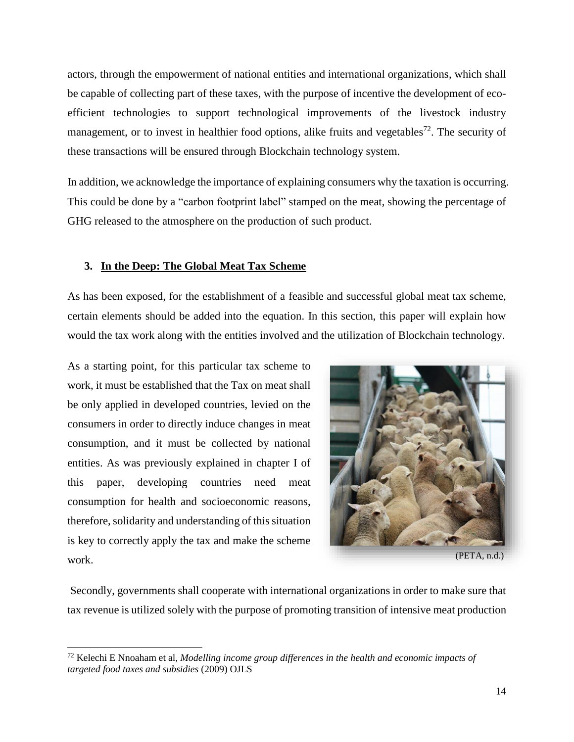actors, through the empowerment of national entities and international organizations, which shall be capable of collecting part of these taxes, with the purpose of incentive the development of ecoefficient technologies to support technological improvements of the livestock industry management, or to invest in healthier food options, alike fruits and vegetables<sup>72</sup>. The security of these transactions will be ensured through Blockchain technology system.

In addition, we acknowledge the importance of explaining consumers why the taxation is occurring. This could be done by a "carbon footprint label" stamped on the meat, showing the percentage of GHG released to the atmosphere on the production of such product.

# **3. In the Deep: The Global Meat Tax Scheme**

As has been exposed, for the establishment of a feasible and successful global meat tax scheme, certain elements should be added into the equation. In this section, this paper will explain how would the tax work along with the entities involved and the utilization of Blockchain technology.

As a starting point, for this particular tax scheme to work, it must be established that the Tax on meat shall be only applied in developed countries, levied on the consumers in order to directly induce changes in meat consumption, and it must be collected by national entities. As was previously explained in chapter I of this paper, developing countries need meat consumption for health and socioeconomic reasons, therefore, solidarity and understanding of this situation is key to correctly apply the tax and make the scheme work.

l



Secondly, governments shall cooperate with international organizations in order to make sure that tax revenue is utilized solely with the purpose of promoting transition of intensive meat production

<sup>72</sup> Kelechi E Nnoaham et al, *Modelling income group differences in the health and economic impacts of targeted food taxes and subsidies* (2009) OJLS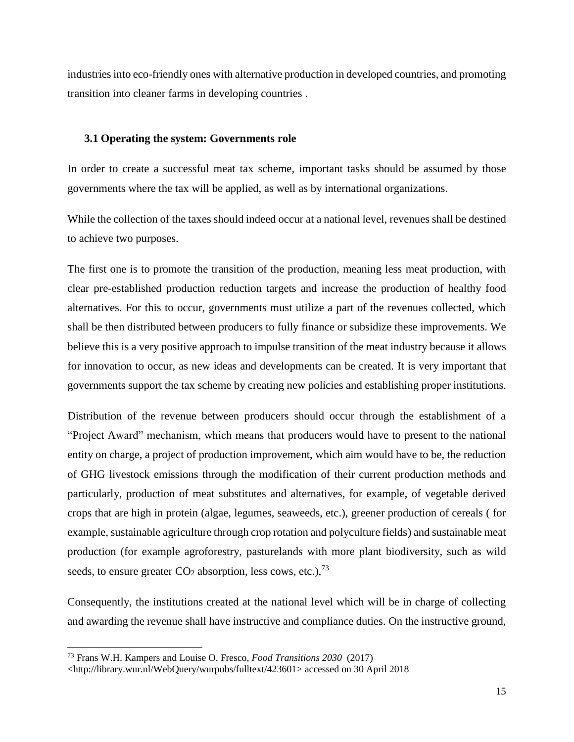industries into eco-friendly ones with alternative production in developed countries, and promoting transition into cleaner farms in developing countries .

## **3.1 Operating the system: Governments role**

In order to create a successful meat tax scheme, important tasks should be assumed by those governments where the tax will be applied, as well as by international organizations.

While the collection of the taxes should indeed occur at a national level, revenues shall be destined to achieve two purposes.

The first one is to promote the transition of the production, meaning less meat production, with clear pre-established production reduction targets and increase the production of healthy food alternatives. For this to occur, governments must utilize a part of the revenues collected, which shall be then distributed between producers to fully finance or subsidize these improvements. We believe this is a very positive approach to impulse transition of the meat industry because it allows for innovation to occur, as new ideas and developments can be created. It is very important that governments support the tax scheme by creating new policies and establishing proper institutions.

Distribution of the revenue between producers should occur through the establishment of a "Project Award" mechanism, which means that producers would have to present to the national entity on charge, a project of production improvement, which aim would have to be, the reduction of GHG livestock emissions through the modification of their current production methods and particularly, production of meat substitutes and alternatives, for example, of vegetable derived crops that are high in protein (algae, legumes, seaweeds, etc.), greener production of cereals ( for example, sustainable agriculture through crop rotation and polyculture fields) and sustainable meat production (for example agroforestry, pasturelands with more plant biodiversity, such as wild seeds, to ensure greater  $CO<sub>2</sub>$  absorption, less cows, etc.),<sup>73</sup>

Consequently, the institutions created at the national level which will be in charge of collecting and awarding the revenue shall have instructive and compliance duties. On the instructive ground,

<sup>73</sup> Frans W.H. Kampers and Louise O. Fresco, *Food Transitions 2030* (2017)

[<sup>&</sup>lt;http://library.wur.nl/WebQuery/wurpubs/fulltext/423601> accessed on 30 April 2018](http://library.wur.nl/WebQuery/wurpubs/fulltext/423601)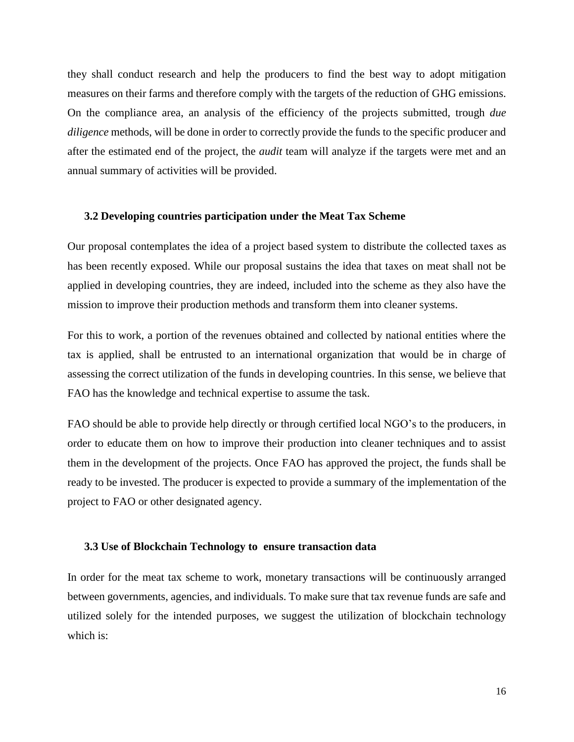they shall conduct research and help the producers to find the best way to adopt mitigation measures on their farms and therefore comply with the targets of the reduction of GHG emissions. On the compliance area, an analysis of the efficiency of the projects submitted, trough *due diligence* methods, will be done in order to correctly provide the funds to the specific producer and after the estimated end of the project, the *audit* team will analyze if the targets were met and an annual summary of activities will be provided.

## **3.2 Developing countries participation under the Meat Tax Scheme**

Our proposal contemplates the idea of a project based system to distribute the collected taxes as has been recently exposed. While our proposal sustains the idea that taxes on meat shall not be applied in developing countries, they are indeed, included into the scheme as they also have the mission to improve their production methods and transform them into cleaner systems.

For this to work, a portion of the revenues obtained and collected by national entities where the tax is applied, shall be entrusted to an international organization that would be in charge of assessing the correct utilization of the funds in developing countries. In this sense, we believe that FAO has the knowledge and technical expertise to assume the task.

FAO should be able to provide help directly or through certified local NGO's to the producers, in order to educate them on how to improve their production into cleaner techniques and to assist them in the development of the projects. Once FAO has approved the project, the funds shall be ready to be invested. The producer is expected to provide a summary of the implementation of the project to FAO or other designated agency.

### **3.3 Use of Blockchain Technology to ensure transaction data**

In order for the meat tax scheme to work, monetary transactions will be continuously arranged between governments, agencies, and individuals. To make sure that tax revenue funds are safe and utilized solely for the intended purposes, we suggest the utilization of blockchain technology which is: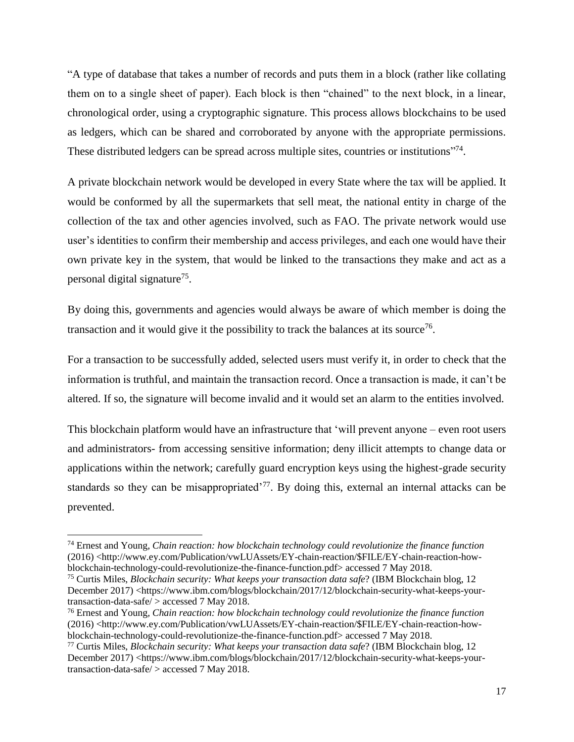"A type of database that takes a number of records and puts them in a block (rather like collating them on to a single sheet of paper). Each block is then "chained" to the next block, in a linear, chronological order, using a cryptographic signature. This process allows blockchains to be used as ledgers, which can be shared and corroborated by anyone with the appropriate permissions. These distributed ledgers can be spread across multiple sites, countries or institutions"<sup>74</sup>.

A private blockchain network would be developed in every State where the tax will be applied. It would be conformed by all the supermarkets that sell meat, the national entity in charge of the collection of the tax and other agencies involved, such as FAO. The private network would use user's identities to confirm their membership and access privileges, and each one would have their own private key in the system, that would be linked to the transactions they make and act as a personal digital signature<sup>75</sup>.

By doing this, governments and agencies would always be aware of which member is doing the transaction and it would give it the possibility to track the balances at its source<sup>76</sup>.

For a transaction to be successfully added, selected users must verify it, in order to check that the information is truthful, and maintain the transaction record. Once a transaction is made, it can't be altered. If so, the signature will become invalid and it would set an alarm to the entities involved.

This blockchain platform would have an infrastructure that 'will prevent anyone – even root users and administrators- from accessing sensitive information; deny illicit attempts to change data or applications within the network; carefully guard encryption keys using the highest-grade security standards so they can be misappropriated<sup>77</sup>. By doing this, external an internal attacks can be prevented.

<sup>74</sup> Ernest and Young, *Chain reaction: how blockchain technology could revolutionize the finance function* (2016) [<http://www.ey.com/Publication/vwLUAssets/EY-chain-reaction/\\$FILE/EY-chain-reaction-how](http://www.ey.com/Publication/vwLUAssets/EY-chain-reaction/$FILE/EY-chain-reaction-how-blockchain-technology-could-revolutionize-the-finance-function.pdf)[blockchain-technology-could-revolutionize-the-finance-function.pdf>](http://www.ey.com/Publication/vwLUAssets/EY-chain-reaction/$FILE/EY-chain-reaction-how-blockchain-technology-could-revolutionize-the-finance-function.pdf) accessed 7 May 2018.

<sup>75</sup> Curtis Miles, *Blockchain security: What keeps your transaction data safe*? (IBM Blockchain blog, 12 December 2017) [<https://www.ibm.com/blogs/blockchain/2017/12/blockchain-security-what-keeps-your](https://www.ibm.com/blogs/blockchain/2017/12/blockchain-security-what-keeps-your-transaction-data-safe/)[transaction-data-safe/](https://www.ibm.com/blogs/blockchain/2017/12/blockchain-security-what-keeps-your-transaction-data-safe/) > accessed 7 May 2018.

<sup>76</sup> Ernest and Young*, Chain reaction: how blockchain technology could revolutionize the finance function*  (2016) [<http://www.ey.com/Publication/vwLUAssets/EY-chain-reaction/\\$FILE/EY-chain-reaction-how](http://www.ey.com/Publication/vwLUAssets/EY-chain-reaction/$FILE/EY-chain-reaction-how-blockchain-technology-could-revolutionize-the-finance-function.pdf)[blockchain-technology-could-revolutionize-the-finance-function.pdf>](http://www.ey.com/Publication/vwLUAssets/EY-chain-reaction/$FILE/EY-chain-reaction-how-blockchain-technology-could-revolutionize-the-finance-function.pdf) accessed 7 May 2018.

<sup>77</sup> Curtis Miles, *Blockchain security: What keeps your transaction data safe*? (IBM Blockchain blog, 12 December 2017) [<https://www.ibm.com/blogs/blockchain/2017/12/blockchain-security-what-keeps-your](https://www.ibm.com/blogs/blockchain/2017/12/blockchain-security-what-keeps-your-transaction-data-safe/)[transaction-data-safe/](https://www.ibm.com/blogs/blockchain/2017/12/blockchain-security-what-keeps-your-transaction-data-safe/) > accessed 7 May 2018.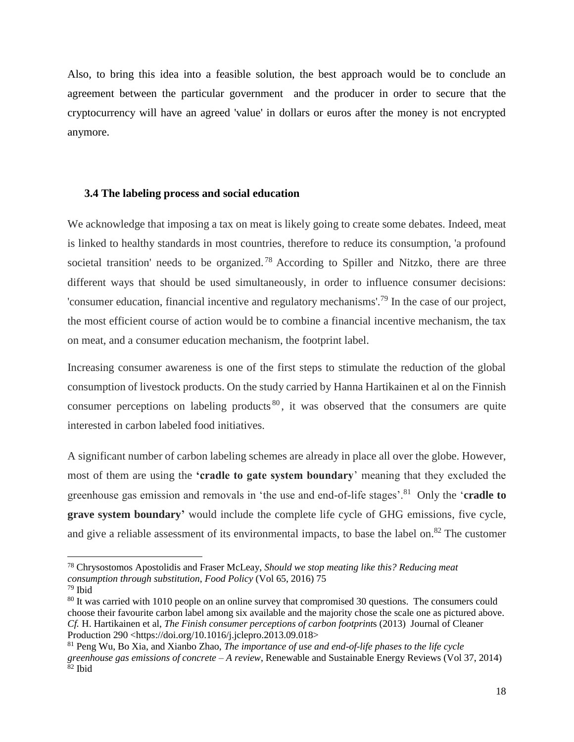Also, to bring this idea into a feasible solution, the best approach would be to conclude an agreement between the particular government and the producer in order to secure that the cryptocurrency will have an agreed 'value' in dollars or euros after the money is not encrypted anymore.

#### **3.4 The labeling process and social education**

We acknowledge that imposing a tax on meat is likely going to create some debates. Indeed, meat is linked to healthy standards in most countries, therefore to reduce its consumption, 'a profound societal transition' needs to be organized.<sup>78</sup> According to Spiller and Nitzko, there are three different ways that should be used simultaneously, in order to influence consumer decisions: 'consumer education, financial incentive and regulatory mechanisms'.<sup>79</sup> In the case of our project, the most efficient course of action would be to combine a financial incentive mechanism, the tax on meat, and a consumer education mechanism, the footprint label.

Increasing consumer awareness is one of the first steps to stimulate the reduction of the global consumption of livestock products. On the study carried by Hanna Hartikainen et al on the Finnish consumer perceptions on labeling products  $80$ , it was observed that the consumers are quite interested in carbon labeled food initiatives.

A significant number of carbon labeling schemes are already in place all over the globe. However, most of them are using the **'cradle to gate system boundary**' meaning that they excluded the greenhouse gas emission and removals in 'the use and end-of-life stages'.<sup>81</sup> Only the '**cradle to grave system boundary'** would include the complete life cycle of GHG emissions, five cycle, and give a reliable assessment of its environmental impacts, to base the label on. $82$  The customer

<sup>78</sup> Chrysostomos Apostolidis and Fraser McLeay, *Should we stop meating like this? Reducing meat consumption through substitution*, *Food Policy* (Vol 65, 2016) 75

<sup>79</sup> Ibid

<sup>&</sup>lt;sup>80</sup> It was carried with 1010 people on an online survey that compromised 30 questions. The consumers could choose their favourite carbon label among six available and the majority chose the scale one as pictured above. *Cf.* H. Hartikainen et al, *The Finish consumer perceptions of carbon footprint*s (2013) Journal of Cleaner Production 290 [<https://doi.org/10.1016/j.jclepro.2013.09.018>](https://doi.org/10.1016/j.jclepro.2013.09.018)<br><sup>81</sup> Peng Wu, Bo Xia, and Xianbo Zhao, *The importance of use and end-of-life phases to the life cycle* 

<sup>81</sup> Peng Wu, Bo Xia, and Xianbo Zhao, *The importance of use and end-of-life phases to the life cycle greenhouse gas emissions of concrete – A review*, Renewable and Sustainable Energy Reviews (Vol 37, 2014) <sup>82</sup> Ibid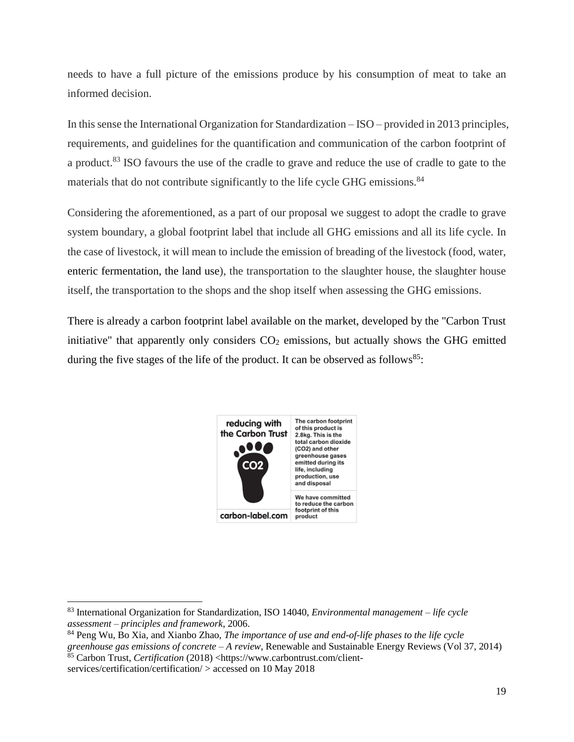needs to have a full picture of the emissions produce by his consumption of meat to take an informed decision.

In this sense the International Organization for Standardization – ISO – provided in 2013 principles, requirements, and guidelines for the quantification and communication of the carbon footprint of a product.<sup>83</sup> ISO favours the use of the cradle to grave and reduce the use of cradle to gate to the materials that do not contribute significantly to the life cycle GHG emissions.<sup>84</sup>

Considering the aforementioned, as a part of our proposal we suggest to adopt the cradle to grave system boundary, a global footprint label that include all GHG emissions and all its life cycle. In the case of livestock, it will mean to include the emission of breading of the livestock (food, water, enteric fermentation, the land use), the transportation to the slaughter house, the slaughter house itself, the transportation to the shops and the shop itself when assessing the GHG emissions.

There is already a carbon footprint label available on the market, developed by the "Carbon Trust initiative" that apparently only considers  $CO<sub>2</sub>$  emissions, but actually shows the GHG emitted during the five stages of the life of the product. It can be observed as follows<sup>85</sup>:



<sup>83</sup> International Organization for Standardization, ISO 14040, *Environmental management – life cycle assessment – principles and framework*, 2006.

<sup>84</sup> Peng Wu, Bo Xia, and Xianbo Zhao, *The importance of use and end-of-life phases to the life cycle greenhouse gas emissions of concrete – A review*, Renewable and Sustainable Energy Reviews (Vol 37, 2014) 85 Carbon Trust, *Certification* (2018) <https://www.carbontrust.com/client-

services/certification/certification/ > accessed on 10 May 2018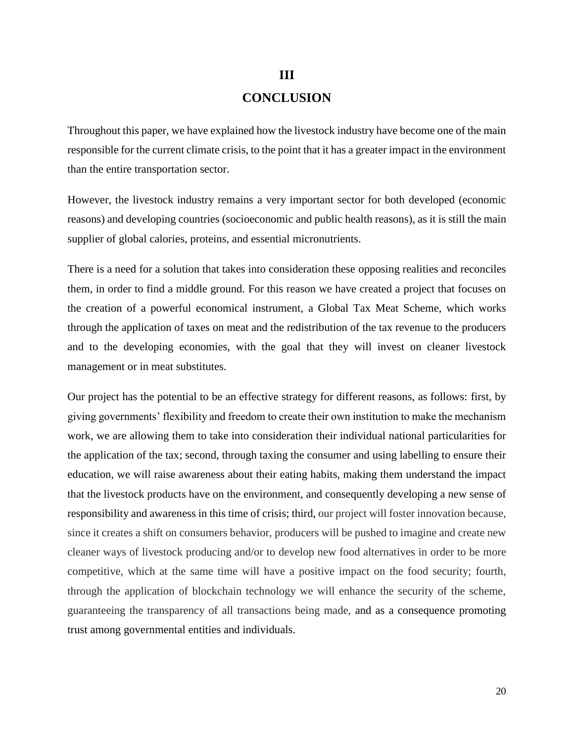# **III CONCLUSION**

Throughout this paper, we have explained how the livestock industry have become one of the main responsible for the current climate crisis, to the point that it has a greater impact in the environment than the entire transportation sector.

However, the livestock industry remains a very important sector for both developed (economic reasons) and developing countries (socioeconomic and public health reasons), as it is still the main supplier of global calories, proteins, and essential micronutrients.

There is a need for a solution that takes into consideration these opposing realities and reconciles them, in order to find a middle ground. For this reason we have created a project that focuses on the creation of a powerful economical instrument, a Global Tax Meat Scheme, which works through the application of taxes on meat and the redistribution of the tax revenue to the producers and to the developing economies, with the goal that they will invest on cleaner livestock management or in meat substitutes.

Our project has the potential to be an effective strategy for different reasons, as follows: first, by giving governments' flexibility and freedom to create their own institution to make the mechanism work, we are allowing them to take into consideration their individual national particularities for the application of the tax; second, through taxing the consumer and using labelling to ensure their education, we will raise awareness about their eating habits, making them understand the impact that the livestock products have on the environment, and consequently developing a new sense of responsibility and awareness in this time of crisis; third, our project will foster innovation because, since it creates a shift on consumers behavior, producers will be pushed to imagine and create new cleaner ways of livestock producing and/or to develop new food alternatives in order to be more competitive, which at the same time will have a positive impact on the food security; fourth, through the application of blockchain technology we will enhance the security of the scheme, guaranteeing the transparency of all transactions being made, and as a consequence promoting trust among governmental entities and individuals.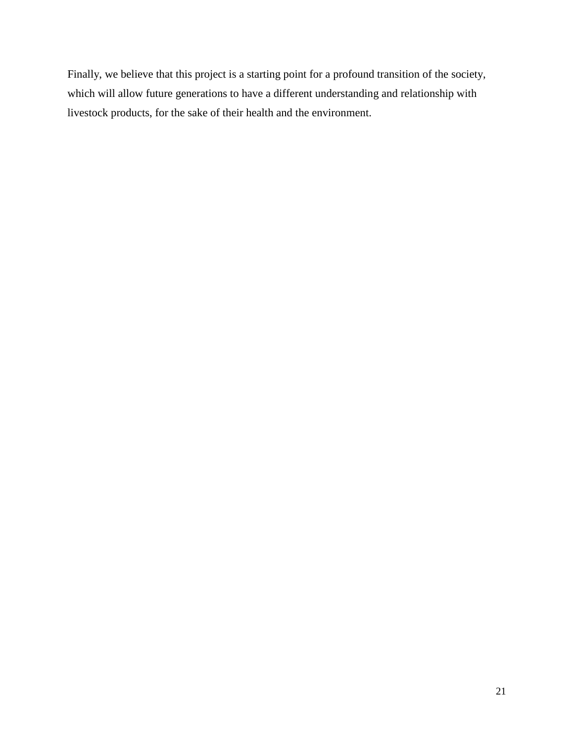Finally, we believe that this project is a starting point for a profound transition of the society, which will allow future generations to have a different understanding and relationship with livestock products, for the sake of their health and the environment.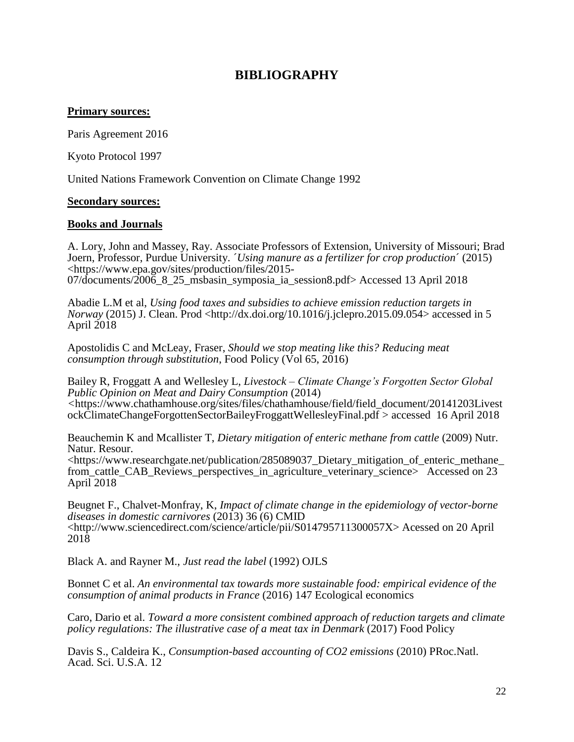# **BIBLIOGRAPHY**

# **Primary sources:**

Paris Agreement 2016

Kyoto Protocol 1997

United Nations Framework Convention on Climate Change 1992

## **Secondary sources:**

## **Books and Journals**

A. Lory, John and Massey, Ray. Associate Professors of Extension, University of Missouri; Brad Joern, Professor, Purdue University. ´*Using manure as a fertilizer for crop production*´ (2015) <https://www.epa.gov/sites/production/files/2015- 07/documents/2006\_8\_25\_msbasin\_symposia\_ia\_session8.pdf> Accessed 13 April 2018

Abadie L.M et al, *Using food taxes and subsidies to achieve emission reduction targets in Norway* (2015) J. Clean. Prod <http://dx.doi.org/10.1016/j.jclepro.2015.09.054> accessed in 5 April 2018

Apostolidis C and McLeay, Fraser, *Should we stop meating like this? Reducing meat consumption through substitution*, Food Policy (Vol 65, 2016)

Bailey R, Froggatt A and Wellesley L, *Livestock – Climate Change's Forgotten Sector Global Public Opinion on Meat and Dairy Consumption* (2014) *<*[https://www.chathamhouse.org/sites/files/chathamhouse/field/field\\_document/20141203Livest](https://www.chathamhouse.org/sites/files/chathamhouse/field/field_document/20141203LivestockClimateChangeForgottenSectorBaileyFroggattWellesleyFinal.pdf) [ockClimateChangeForgottenSectorBaileyFroggattWellesleyFinal.pdf](https://www.chathamhouse.org/sites/files/chathamhouse/field/field_document/20141203LivestockClimateChangeForgottenSectorBaileyFroggattWellesleyFinal.pdf) > accessed 16 April 2018

Beauchemin K and Mcallister T, *Dietary mitigation of enteric methane from cattle* (2009) Nutr. Natur. Resour.

<https://www.researchgate.net/publication/285089037\_Dietary\_mitigation\_of\_enteric\_methane\_ from\_cattle\_CAB\_Reviews\_perspectives\_in\_agriculture\_veterinary\_science> Accessed on 23 April 2018

Beugnet F., Chalvet-Monfray, K, *Impact of climate change in the epidemiology of vector-borne diseases in domestic carnivores* (2013) 36 (6) CMID <http://www.sciencedirect.com/science/article/pii/S014795711300057X> Acessed on 20 April 2018

Black A. and Rayner M., *Just read the label* (1992) OJLS

Bonnet C et al. *An environmental tax towards more sustainable food: empirical evidence of the consumption of animal products in France* (2016) 147 Ecological economics

Caro, Dario et al. *Toward a more consistent combined approach of reduction targets and climate policy regulations: The illustrative case of a meat tax in Denmark* (2017) Food Policy

Davis S., Caldeira K., *Consumption-based accounting of CO2 emissions* (2010) PRoc.Natl. Acad. Sci. U.S.A. 12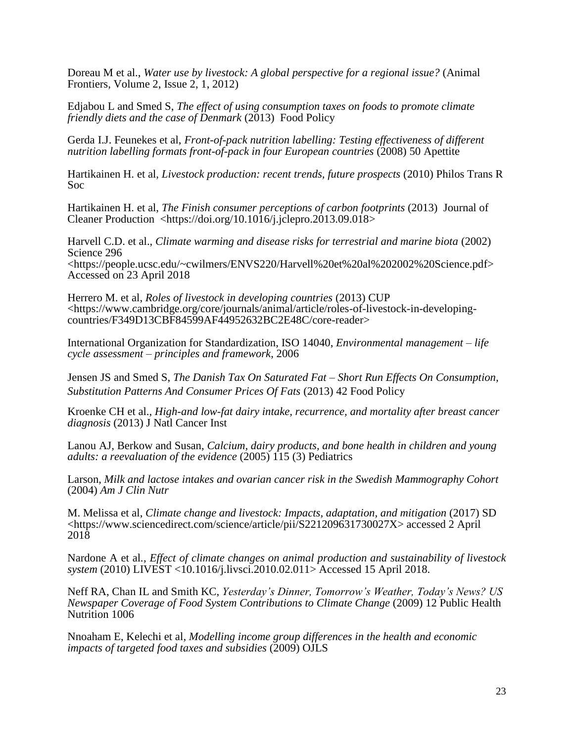Doreau M et al., *Water use by livestock: A global perspective for a regional issue?* (Animal Frontiers, Volume 2, Issue 2, 1, 2012)

Edjabou L and Smed S, *The effect of using consumption taxes on foods to promote climate friendly diets and the case of Denmark* (2013) Food Policy

Gerda I.J. Feunekes et al, *Front-of-pack nutrition labelling: Testing effectiveness of different nutrition labelling formats front-of-pack in four European countries* (2008) 50 Apettite

Hartikainen H. et al, *Livestock production: recent trends, future prospects* (2010) Philos Trans R Soc

Hartikainen H. et al, *The Finish consumer perceptions of carbon footprints* (2013) Journal of Cleaner Production  $\langle$ https://doi.org/10.1016/j.jclepro.2013.09.018>

Harvell C.D. et al., *Climate warming and disease risks for terrestrial and marine biota* (2002) Science 296 <https://people.ucsc.edu/~cwilmers/ENVS220/Harvell%20et%20al%202002%20Science.pdf> Accessed on 23 April 2018

Herrero M. et al, *Roles of livestock in developing countries* (2013) CUP <https://www.cambridge.org/core/journals/animal/article/roles-of-livestock-in-developingcountries/F349D13CBF84599AF44952632BC2E48C/core-reader>

International Organization for Standardization, ISO 14040, *Environmental management – life cycle assessment – principles and framework*, 2006

Jensen JS and Smed S, *The Danish Tax On Saturated Fat – Short Run Effects On Consumption, Substitution Patterns And Consumer Prices Of Fats* (2013) 42 Food Policy

Kroenke CH et al., *High-and low-fat dairy intake, recurrence, and mortality after breast cancer diagnosis* (2013) J Natl Cancer Inst

Lanou AJ, Berkow and Susan, *Calcium, dairy products, and bone health in children and young adults: a reevaluation of the evidence* (2005) 115 (3) Pediatrics

Larson, *Milk and lactose intakes and ovarian cancer risk in the Swedish Mammography Cohort* (2004) *Am J Clin Nutr*

M. Melissa et al, *Climate change and livestock: Impacts, adaptation, and mitigation* (2017) SD [<https://www.sciencedirect.com/science/article/pii/S221209631730027X>](https://www.sciencedirect.com/science/article/pii/S221209631730027X) accessed 2 April 2018

Nardone A et al*., Effect of climate changes on animal production and sustainability of livestock system* (2010) LIVEST <10.1016/j.livsci.2010.02.011> Accessed 15 April 2018.

Neff RA, Chan IL and Smith KC, *Yesterday's Dinner, Tomorrow's Weather, Today's News? US Newspaper Coverage of Food System Contributions to Climate Change* (2009) 12 Public Health Nutrition 1006

Nnoaham E, Kelechi et al*, Modelling income group differences in the health and economic impacts of targeted food taxes and subsidies* (2009) OJLS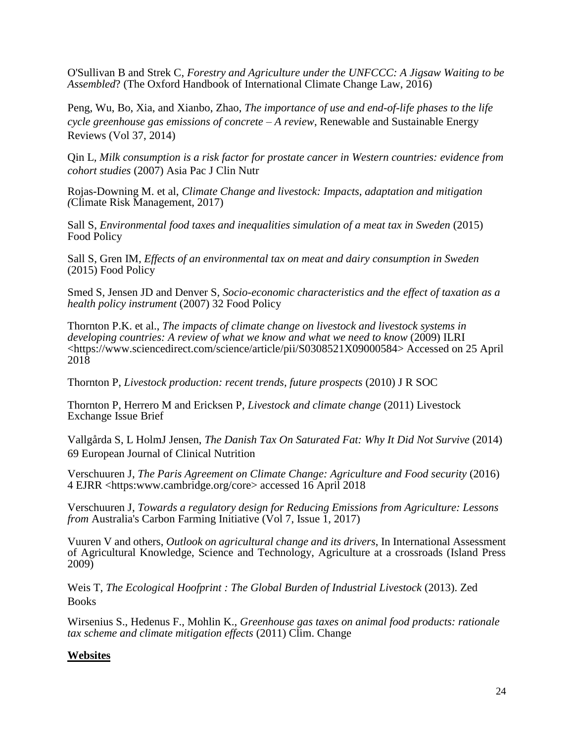O'Sullivan B and Strek C, *Forestry and Agriculture under the UNFCCC: A Jigsaw Waiting to be Assembled*? (The Oxford Handbook of International Climate Change Law, 2016)

Peng, Wu, Bo, Xia, and Xianbo, Zhao, *The importance of use and end-of-life phases to the life cycle greenhouse gas emissions of concrete – A review*, Renewable and Sustainable Energy Reviews (Vol 37, 2014)

Qin L*, Milk consumption is a risk factor for prostate cancer in Western countries: evidence from cohort studies* (2007) Asia Pac J Clin Nutr

Rojas-Downing M. et al, *Climate Change and livestock: Impacts, adaptation and mitigation (*Climate Risk Management, 2017)

Sall S, *Environmental food taxes and inequalities simulation of a meat tax in Sweden* (2015) Food Policy

Sall S, Gren IM*, Effects of an environmental tax on meat and dairy consumption in Sweden* (2015) Food Policy

Smed S, Jensen JD and Denver S*, Socio-economic characteristics and the effect of taxation as a health policy instrument* (2007) 32 Food Policy

Thornton P.K. et al., *The impacts of climate change on livestock and livestock systems in developing countries: A review of what we know and what we need to know* (2009) ILRI <https://www.sciencedirect.com/science/article/pii/S0308521X09000584> Accessed on 25 April 2018

Thornton P, *Livestock production: recent trends, future prospects* (2010) J R SOC

Thornton P, Herrero M and Ericksen P, *Livestock and climate change* (2011) Livestock Exchange Issue Brief

Vallgårda S, L HolmJ Jensen, *The Danish Tax On Saturated Fat: Why It Did Not Survive* (2014) 69 European Journal of Clinical Nutrition

Verschuuren J, *The Paris Agreement on Climate Change: Agriculture and Food security* (2016) 4 EJRR <https:www.cambridge.org/core> accessed 16 April 2018

Verschuuren J, *Towards a regulatory design for Reducing Emissions from Agriculture: Lessons from* Australia's Carbon Farming Initiative (Vol 7, Issue 1, 2017)

Vuuren V and others, *Outlook on agricultural change and its drivers*, In International Assessment of Agricultural Knowledge, Science and Technology, Agriculture at a crossroads (Island Press 2009)

Weis T, *The Ecological Hoofprint : The Global Burden of Industrial Livestock* (2013). Zed **Books** 

Wirsenius S., Hedenus F., Mohlin K., *Greenhouse gas taxes on animal food products: rationale tax scheme and climate mitigation effects* (2011) Clim. Change

# **Websites**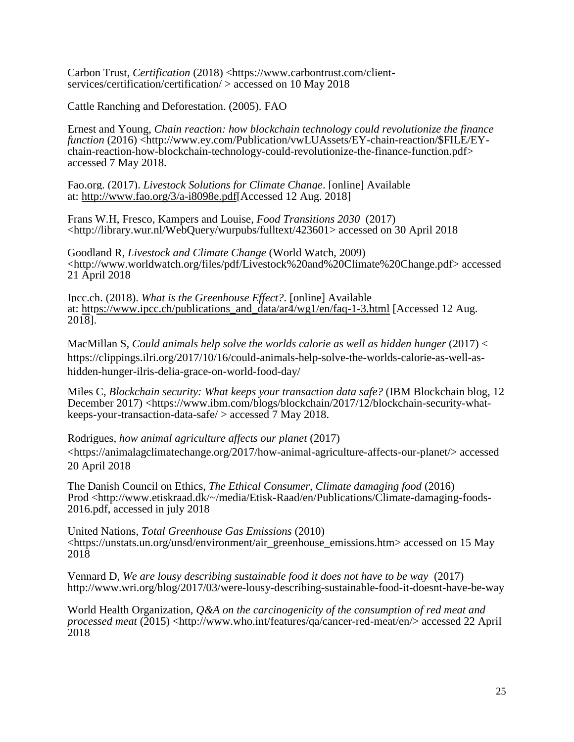Carbon Trust, *Certification* (2018) [<https://www.carbontrust.com/client](https://www.carbontrust.com/client-services/certification/certification/)[services/certification/certification/](https://www.carbontrust.com/client-services/certification/certification/) > accessed on 10 May 2018

Cattle Ranching and Deforestation. (2005). FAO

Ernest and Young, *Chain reaction: how blockchain technology could revolutionize the finance function* (2016) [<http://www.ey.com/Publication/vwLUAssets/EY-chain-reaction/\\$FILE/EY](http://www.ey.com/Publication/vwLUAssets/EY-chain-reaction/$FILE/EY-chain-reaction-how-blockchain-technology-could-revolutionize-the-finance-function.pdf)[chain-reaction-how-blockchain-technology-could-revolutionize-the-finance-function.pdf>](http://www.ey.com/Publication/vwLUAssets/EY-chain-reaction/$FILE/EY-chain-reaction-how-blockchain-technology-could-revolutionize-the-finance-function.pdf) accessed 7 May 2018.

Fao.org. (2017). *Livestock Solutions for Climate Change*. [online] Available at: [http://www.fao.org/3/a-i8098e.pdf\[](http://www.fao.org/3/a-i8098e.pdf)Accessed 12 Aug. 2018]

Frans W.H, Fresco, Kampers and Louise, *Food Transitions 2030* (2017) [<http://library.wur.nl/WebQuery/wurpubs/fulltext/423601>](http://library.wur.nl/WebQuery/wurpubs/fulltext/423601) accessed on 30 April 2018

Goodland R, *Livestock and Climate Change* (World Watch, 2009) [<http://www.worldwatch.org/files/pdf/Livestock%20and%20Climate%20Change.pdf> accessed](http://www.worldwatch.org/files/pdf/Livestock%20and%20Climate%20Change.pdf)  [21 April 2018](http://www.worldwatch.org/files/pdf/Livestock%20and%20Climate%20Change.pdf)

Ipcc.ch. (2018). *What is the Greenhouse Effect?*. [online] Available at: [https://www.ipcc.ch/publications\\_and\\_data/ar4/wg1/en/faq-1-3.html](https://www.ipcc.ch/publications_and_data/ar4/wg1/en/faq-1-3.html) [Accessed 12 Aug. 2018].

MacMillan S, Could animals help solve the worlds calorie as well as hidden hunger (2017) < [https://clippings.ilri.org/2017/10/16/could-animals-help-solve-the-worlds-calorie-as-well-as](https://clippings.ilri.org/2017/10/16/could-animals-help-solve-the-worlds-calorie-as-well-as-hidden-hunger-ilris-delia-grace-on-world-food-day/)[hidden-hunger-ilris-delia-grace-on-world-food-day/](https://clippings.ilri.org/2017/10/16/could-animals-help-solve-the-worlds-calorie-as-well-as-hidden-hunger-ilris-delia-grace-on-world-food-day/)

Miles C, *Blockchain security: What keeps your transaction data safe?* (IBM Blockchain blog, 12 December 2017) [<https://www.ibm.com/blogs/blockchain/2017/12/blockchain-security-what](https://www.ibm.com/blogs/blockchain/2017/12/blockchain-security-what-keeps-your-transaction-data-safe/)[keeps-your-transaction-data-safe/](https://www.ibm.com/blogs/blockchain/2017/12/blockchain-security-what-keeps-your-transaction-data-safe/) > accessed 7 May 2018.

Rodrigues, *how animal agriculture affects our planet* (2017) <https://animalagclimatechange.org/2017/how-animal-agriculture-affects-our-planet/> accessed 20 April 2018

The Danish Council on Ethics, *The Ethical Consumer, Climate damaging food* (2016) Prod <http://www.etiskraad.dk/~/media/Etisk-Raad/en/Publications/Climate-damaging-foods-2016.pdf, accessed in july 2018

United Nations, *Total Greenhouse Gas Emissions* (2010) <https://unstats.un.org/unsd/environment/air\_greenhouse\_emissions.htm> accessed on 15 May 2018

Vennard D, *We are lousy describing sustainable food it does not have to be way* (2017) <http://www.wri.org/blog/2017/03/were-lousy-describing-sustainable-food-it-doesnt-have-be-way>

World Health Organization, *Q&A on the carcinogenicity of the consumption of red meat and processed meat* (2015) <http://www.who.int/features/qa/cancer-red-meat/en/> accessed 22 April 2018